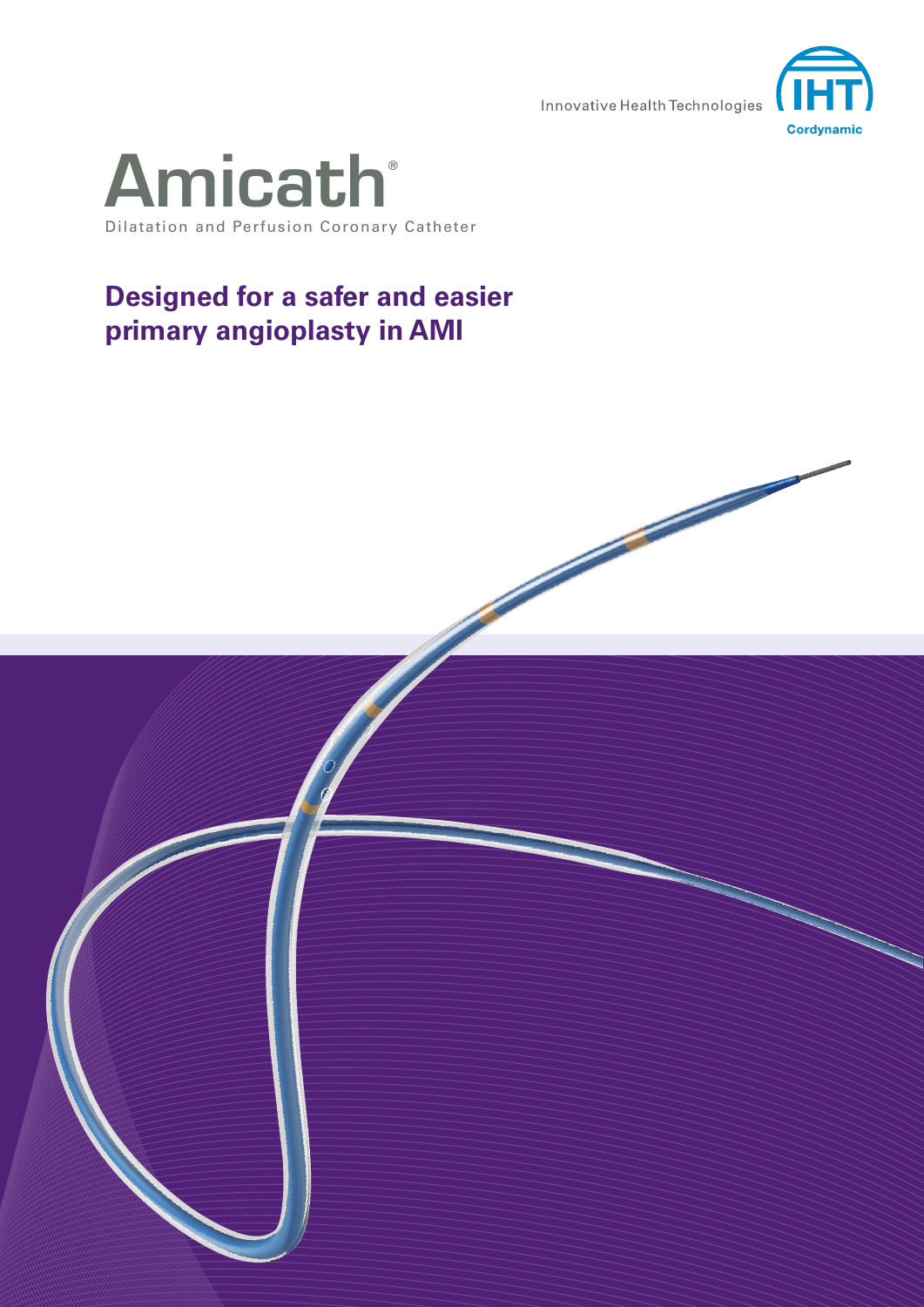Innovative Health Technologies





## **Designed for a safer and easier primary angioplasty in AMI**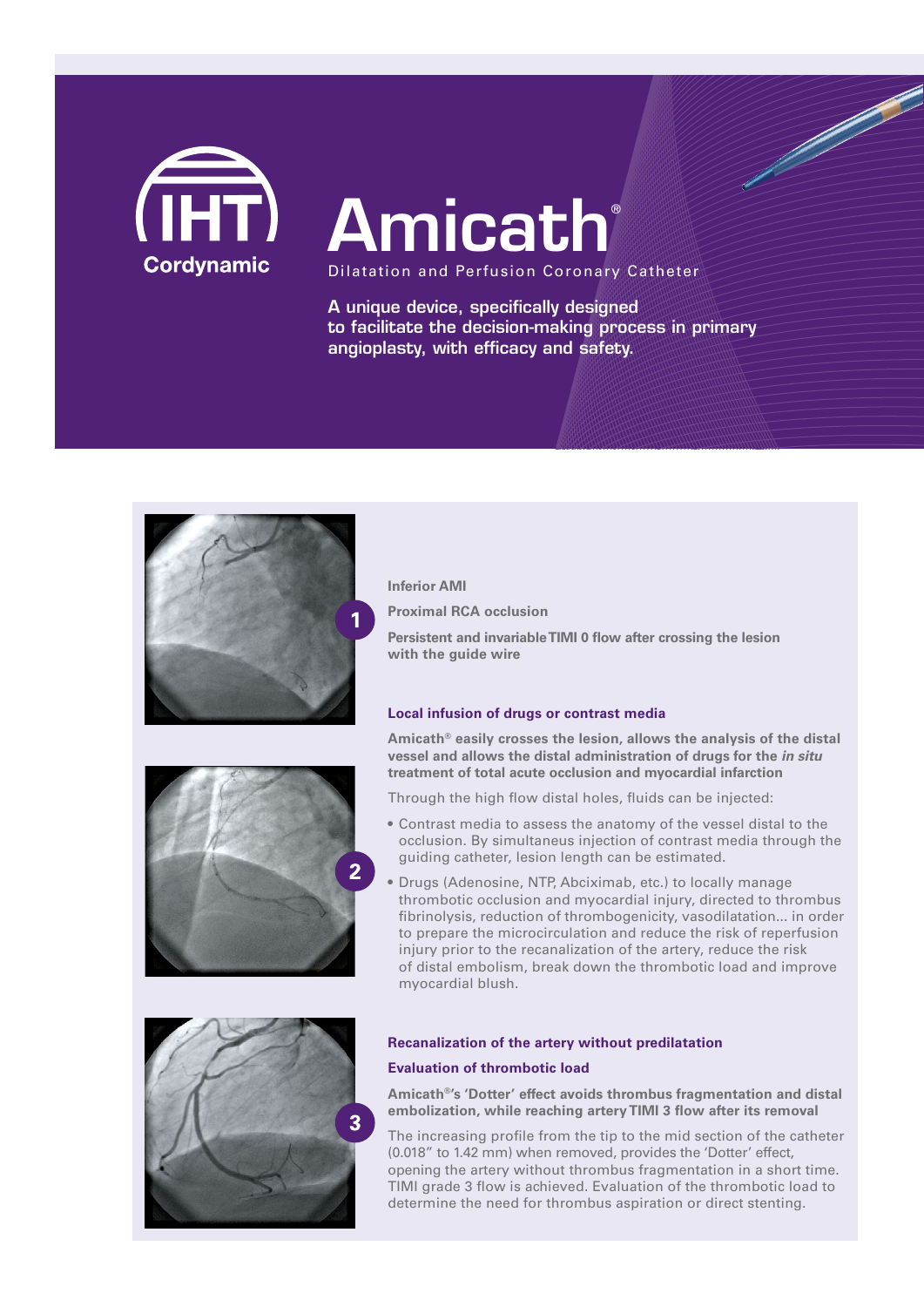

# **Amicath**

Dilatation and Perfusion Coronary Catheter

A unique device, specifically designed to facilitate the decision-making process in primary angioplasty, with efficacy and safety.

The Company of the Company of



### **Inferior AMI**

**Proximal RCA occlusion** 

**Persistent and invariable TIMI 0 flow after crossing the lesion with the guide wire**

#### **Local infusion of drugs or contrast media**

**Amicath® easily crosses the lesion, allows the analysis of the distal vessel and allows the distal administration of drugs for the** *in situ* **treatment of total acute occlusion and myocardial infarction**

Through the high flow distal holes, fluids can be injected:

- Contrast media to assess the anatomy of the vessel distal to the occlusion. By simultaneus injection of contrast media through the guiding catheter, lesion length can be estimated.
- Drugs (Adenosine, NTP, Abciximab, etc.) to locally manage thrombotic occlusion and myocardial injury, directed to thrombus fibrinolysis, reduction of thrombogenicity, vasodilatation... in order to prepare the microcirculation and reduce the risk of reperfusion injury prior to the recanalization of the artery, reduce the risk of distal embolism, break down the thrombotic load and improve myocardial blush.



#### **Recanalization of the artery without predilatation**

#### **Evaluation of thrombotic load**

**Amicath®'s 'Dotter' effect avoids thrombus fragmentation and distal embolization, while reaching artery TIMI 3 flow after its removal**

The increasing profile from the tip to the mid section of the catheter (0.018" to 1.42 mm) when removed, provides the 'Dotter' effect, opening the artery without thrombus fragmentation in a short time. TIMI grade 3 flow is achieved. Evaluation of the thrombotic load to determine the need for thrombus aspiration or direct stenting.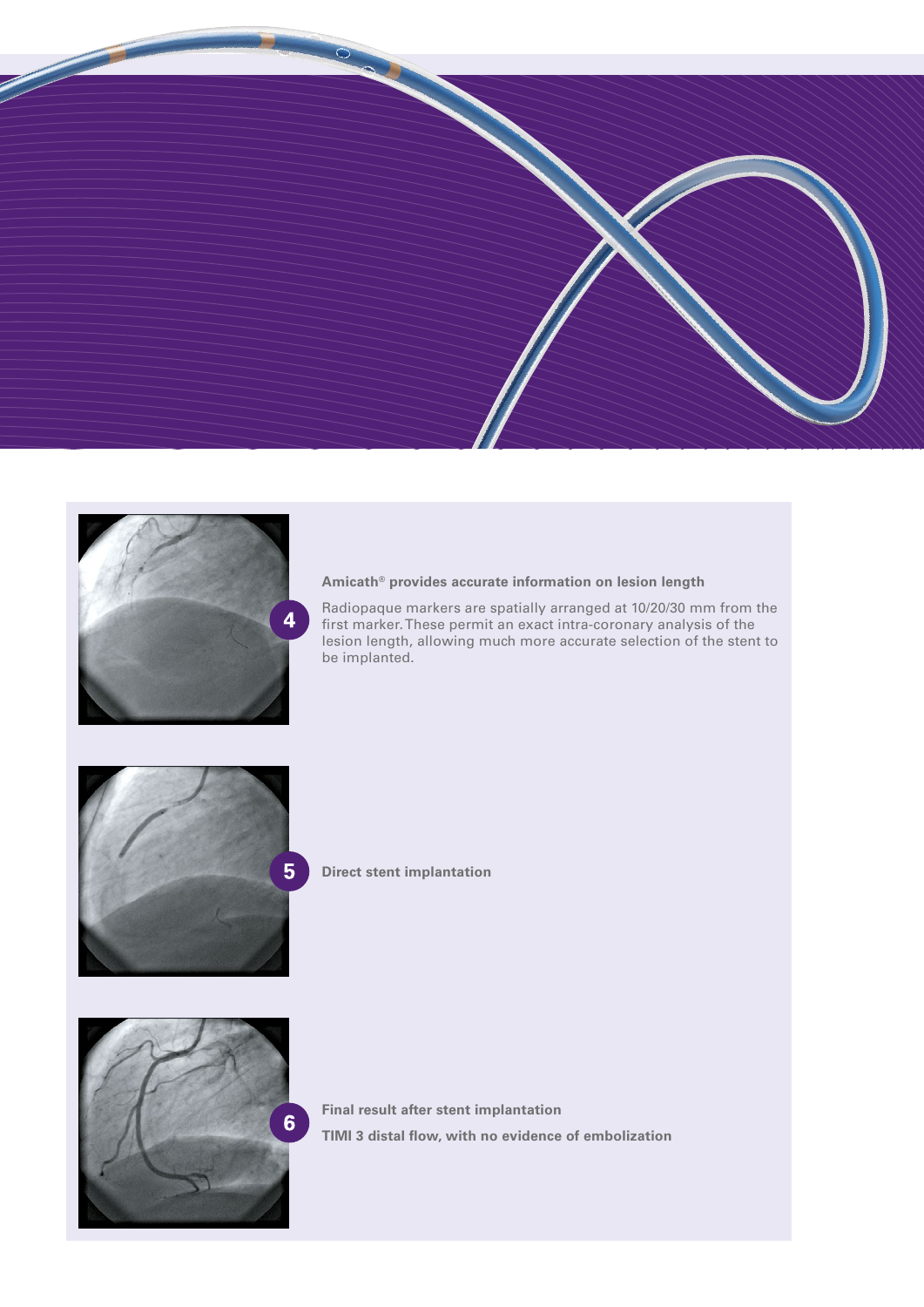



#### **Amicath® provides accurate information on lesion length**

Radiopaque markers are spatially arranged at 10/20/30 mm from the first marker. These permit an exact intra-coronary analysis of the lesion length, allowing much more accurate selection of the stent to be implanted.



**Direct stent implantation**



**Final result after stent implantation TIMI 3 distal flow, with no evidence of embolization**